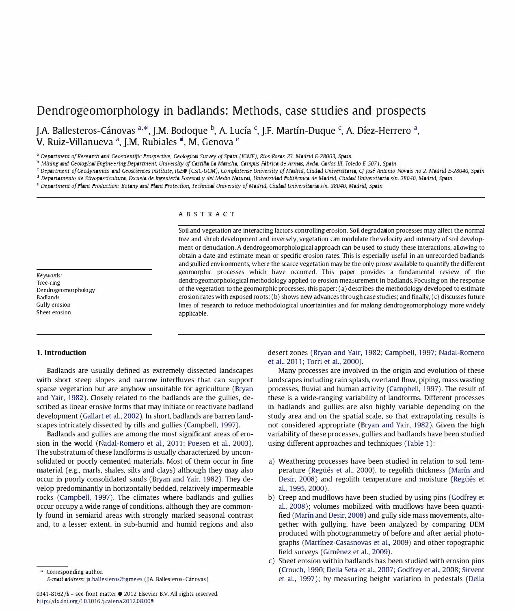# Dendrogeomorphology in badlands: Methods, case studies and prospects

J.A. Ballesteros-Cánovas  $a^*$ , J.M. Bodoque  $b^*$ , A. Lucía <sup>c</sup>, J.F. Martín-Duque <sup>c</sup>, A. Díez-Herrero  $a^*$ , V. Ruiz-Villanueva<sup>a</sup>, J.M. Rubiales<sup>d</sup>, M. Genova<sup>e</sup>

<sup>a</sup> Department of Research and Geoscientific Prospective, Geological Survey of Spain (IGME), Ríos Rosas 23, Madrid E-28003, Spain

<sup>b</sup> Mining and Geological Engineering Department, University of Castilla La Mancha, Campus Fábrica de Armas, Avda. Carlos III, Toledo E-5071, Spain

c Department of Geodynamics and Geosciences Institute, IGEO (CSIC-UCM), Complutense University of Madrid, Ciudad Universitaria, C/ José Antonio Novais no 2, Madrid E-28040, Spain

<sup>d</sup> Departamento de Silvopascicultura, Escuela de Ingeniería Forestal y del Medio Natural, Universidad Politécnica de Madrid, Ciudad Universitaria s/n. 28040, Madrid, Spain

" Department of Plant Production: Botany and Plant Protection, Technical University of Madrid, Ciudad Universitaria s/n. 28040, Madrid, Spain

Keywords: Tree-ring Dendrogeomorphology Badlands Gully erosion Sheet erosion

#### ABSTRACT

Soil and vegetation are interacting factors controlling erosion. Soil degradation processes may affect the normal tree and shrub development and inversely, vegetation can modulate the velocity and intensity of soil development or denudation. A dendrogeomorphological approach can be used to study these interactions, allowing to obtain a date and estimate mean or specific erosion rates. This is especially useful in an unrecorded badlands and gullied environments, where the scarce vegetation may be the only proxy available to quantify the different geomorphic processes which have occurred. This paper provides a fundamental review of the dendrogeomorphological methodology applied to erosion measurement in badlands. Focusing on the response of the vegetation to the geomorphic processes, this paper: (a) describes the methodology developed to estimate erosion rates with exposed roots; (b) shows new advances through case studies; and finally, (c) discusses future lines of research to reduce methodological uncertainties and for making dendrogeomorphology more widely applicable.

#### 1. Introduction

Badlands are usually defined as extremely dissected landscapes with short steep slopes and narrow interfluves that can support sparse vegetation but are anyhow unsuitable for agriculture (Bryan and Yair, 1982). Closely related to the badlands are the gullies, described as linear erosive forms that may initiate or reactivate badland development (Gallart et al., 2002). In short, badlands are barren landscapes intricately dissected by rills and gullies (Campbell, 1997).

Badlands and gullies are among the most significant areas of erosion in the world (Nadal-Romero et al., 2011; Poesen et al., 2003). The substratum of these landforms is usually characterized by unconsolidated or poorly cemented materials. Most of them occur in fine material (e.g., marls, shales, silts and clays) although they may also occur in poorly consolidated sands (Bryan and Yair, 1982). They develop predominantly in horizontally bedded, relatively impermeable rocks (Campbell, 1997). The climates where badlands and gullies occur occupy a wide range of conditions, although they are commonly found in semiarid areas with strongly marked seasonal contrast and, to a lesser extent, in sub-humid and humid regions and also

0341-8162/\$ - see front matter © 2012 Elsevier RV. All rights reserved. http://dx.doi.org/1 0.1 0 16 /j.catena.20 12.08.009

desert zones (Bryan and Yair, 1982; Campbell, 1997; Nadal-Romero et al., 2011; Torri et al., 2000).

Many processes are involved in the origin and evolution of these landscapes including rain splash, overland flow, piping, mass wasting processes, fluvial and human activity (Campbell, 1997). The result of these is a wide-ranging variability of landforms. Different processes in badlands and gullies are also highly variable depending on the study area and on the spatial scale, so that extrapolating results is not considered appropriate (Bryan and Yair, 1982). Given the high variability of these processes, gullies and badlands have been studied using different approaches and techniques (Table 1):

- a) Weathering processes have been studied in relation to soil temperature (Regüés et al., 2000), to regolith thickness (Marín and Desir, 2008) and regolith temperature and moisture (Regüés et aI., 1995, 2000).
- b) Creep and mudflows have been studied by using pins (Godfrey et al., 2008); volumes mobilized with mudflows have been quantified (Marín and Desir, 2008) and gully side mass movements, altogether with gullying, have been analyzed by comparing DEM produced with photogrammetry of before and after aerial photographs (Martfnez-Casasnovas et al., 2009) and other topographic field surveys (Giménez et al., 2009).
- c) Sheet erosion within badlands has been studied with erosion pins (Crouch, 1990; Della Seta et al., 2007; Godfrey et al., 2008; Sirvent et al., 1997); by measuring height variation in pedestals (Della

Corresponding author.

E-mail address: ja.ballesteros@igme.es (J.A. Ballesteros-Cánovas).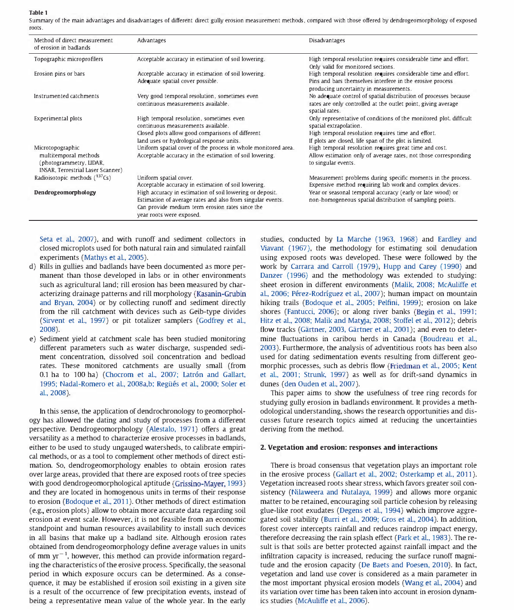Table 1

Summary of the main advantages and disadvantages of different direct gully erosion measurement methods, compared with those offered by dendrogeomorphology of exposed roots,

| Method of direct measurement<br>of erosion in badlands                                                    | Advantages                                                                                                                                                                                            | Disadvantages                                                                                                                                                                                                |
|-----------------------------------------------------------------------------------------------------------|-------------------------------------------------------------------------------------------------------------------------------------------------------------------------------------------------------|--------------------------------------------------------------------------------------------------------------------------------------------------------------------------------------------------------------|
| Topographic microprofilers                                                                                | Acceptable accuracy in estimation of soil lowering.                                                                                                                                                   | High temporal resolution requires considerable time and effort.<br>Only valid for monitored sections.                                                                                                        |
| Erosion pins or bars                                                                                      | Acceptable accuracy in estimation of soil lowering.<br>Adequate spatial cover possible.                                                                                                               | High temporal resolution requires considerable time and effort.<br>Pins and bars themselves interfere in the erosive process<br>producing uncertainty in measurements.                                       |
| Instrumented catchments                                                                                   | Very good temporal resolution, sometimes even<br>continuous measurements available.                                                                                                                   | No adequate control of spatial distribution of processes because<br>rates are only controlled at the outlet point, giving average<br>spatial rates.                                                          |
| Experimental plots                                                                                        | High temporal resolution, sometimes even<br>continuous measurements available.<br>Closed plots allow good comparisons of different<br>land uses or hydrological response units.                       | Only representative of conditions of the monitored plot, difficult<br>spatial extrapolation.<br>High temporal resolution requires time and effort.<br>If plots are closed, life span of the plot is limited. |
| Microtopographic<br>multitemporal methods<br>(photogrammetry, LIDAR,<br>INSAR, Terrestrial Laser Scanner) | Uniform spatial cover of the process in whole monitored area.<br>Acceptable accuracy in the estimation of soil lowering.                                                                              | High temporal resolution requires great time and cost.<br>Allow estimation only of average rates, not those corresponding<br>to singular events.                                                             |
| Radioisotopic methods $(^{137}Cs)$                                                                        | Uniform spatial cover.<br>Acceptable accuracy in estimation of soil lowering.                                                                                                                         | Measurement problems during specific moments in the process.<br>Expensive method requiring lab work and complex devices.                                                                                     |
| Dendrogeomorphology                                                                                       | High accuracy in estimation of soil lowering or deposit.<br>Estimation of average rates and also from singular events.<br>Can provide medium term erosion rates since the<br>year roots were exposed. | Year or seasonal temporal accuracy (early or late wood) or<br>non-homogeneous spatial distribution of sampling points.                                                                                       |

Seta et aL, 2007), and with runoff and sediment collectors in closed microplots used for both natural rain and simulated rainfall experiments (Mathys et al, 2005),

- d) Rills in gullies and badlands have been documented as more permanent than those developed in labs or in other environments such as agricultural land; rill erosion has been measured by characterizing drainage patterns and rill morphology (Kasanin-Grubin and Bryan, 2004) or by collecting runoff and sediment directly from the rill catchment with devices such as Geib-type divides (Sirvent et aL, 1997) or pit totalizer samplers (Godfrey et aL, 2008).
- e) Sediment yield at catchment scale has been studied monitoring different parameters such as water discharge, suspended sediment concentration, dissolved soil concentration and bedload rates, These monitored catchments are usually small (from 0.1 ha to 100 ha) (Chocrom et al., 2007; Latrón and Gallart, 1995; Nadal-Romero et al, 2008a,b; Regiies et aL, 2000; Soler et aL, 2oo8).

In this sense, the application of dendrochronology to geomorphology has allowed the dating and study of processes from a different perspective, Dendrogeomorphology (Alestalo, 1971) offers a great versatility as a method to characterize erosive processes in badlands, either to be used to study ungauged watersheds, to calibrate empirical methods, or as a tool to complement other methods of direct estimation, So, dendrogeomorphology enables to obtain erosion rates over large areas, provided that there are exposed roots of tree species with good dendrogeomorphological aptitude (Grissino-Mayer, 1993) and they are located in homogenous units in terms of their response to erosion (Bodoque et aL, 2011), Other methods of direct estimation (e.g., erosion plots) allow to obtain more accurate data regarding soil erosion at event scale, However, it is not feasible from an economic standpoint and human resources availability to install such devices in all basins that make up a badland site, Although erosion rates obtained from dendrogeomorphology define average values in units of mm  $yr^{-1}$ , however, this method can provide information regarding the characteristics of the erosive process, Specifically, the seasonal period in which exposure occurs can be determined, As a consequence, it may be established if erosion soil existing in a given site is a result of the occurrence of few precipitation events, instead of being a representative mean value of the whole year. In the early studies, conducted by La Marche (1963, 1968) and Eardley and Viavant (1967), the methodology for estimating soil denudation using exposed roots was developed, These were followed by the work by Carrara and Carroll (1979), Hupp and Carey (1990) and Danzer (1996) and the methodology was extended to studying: sheet erosion in different environments (Malik, 2008; McAuliffe et al, 2006; Perez-Rodriguez et aL, 2007); human impact on mountain hiking trails (Bodoque et al., 2005; Pelfini, 1999); erosion on lake shores (Fantucci, 2006); or along river banks (Begin et al., 1991; Hitz et aL, 2008; Malik and Matyja, 2008; Stoffel et aL, 2012); debris flow tracks (Gärtner, 2003, Gärtner et al., 2001); and even to determine fluctuations in caribou herds in Canada (Boudreau et al., 2003), Furthermore, the analysis of adventitious roots has been also used for dating sedimentation events resulting from different geomorphic processes, such as debris flow (Friedman et aL, 2005; Kent et al., 2001; Strunk, 1997) as well as for drift-sand dynamics in dunes (den Ouden et al., 2007).

This paper aims to show the usefulness of tree ring records for studying gully erosion in badlands environment It provides a methodological understanding, shows the research opportunities and discusses future research topics aimed at reducing the uncertainties deriving from the method,

#### 2. Vegetation and erosion: responses and interactions

There is broad consensus that vegetation plays an important role in the erosive process (Gallart et al., 2002; Osterkamp et al., 2011). Vegetation increased roots shear stress, which favors greater soil consistency (Nilaweera and Nutalaya, 1999) and allows more organic matter to be retained, encouraging soil particle cohesion by releasing glue-like root exudates (Degens et aL, 1994) which improve aggregated soil stability (Burri et aL, 2009; Gros et aL, 2004), In addition, forest cover intercepts rainfall and reduces raindrop impact energy, therefore decreasing the rain splash effect (Park et al., 1983), The result is that soils are better protected against rainfall impact and the infiltration capacity is increased, reducing the surface runoff magnitude and the erosion capacity (De Baets and Poesen, 2010), In fact, vegetation and land use cover is considered as a main parameter in the most important physical erosion models (Wang et aL, 2004) and its variation over time has been taken into account in erosion dynamics studies (McAuliffe et al., 2006).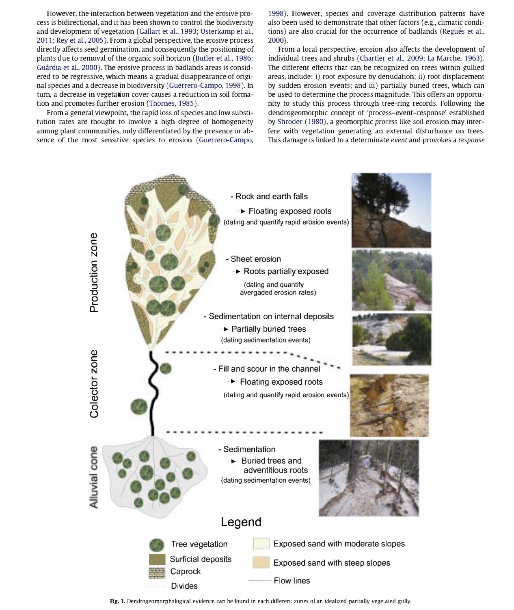However, the interaction between vegetation and the erosive process is bidirectional, and it has been shown to control the biodiversity and development of vegetation (Gallart et al., 1993; Osterkamp et al., 2011; Rey et al., 2005). From a global perspective, the erosive process directly affects seed germination, and consequently the positioning of plants due to removal of the organic soil horizon (Butler et al., 1986; Guardia et al., 2000). The erosive process in badlands areas is considered to be regressive, which means a gradual disappearance of original species and a decrease in biodiversity (Guerrero-Campo, 1998). In turn, a decrease in vegetation cover causes a reduction in soil formation and promotes further erosion (Thornes, 1985).

From a general viewpoint, the rapid loss of species and low substitution rates are thought to involve a high degree of homogeneity among plant communities, only differentiated by the presence or absence of the most sensitive species to erosion (Guerrero-Campo,

1998). However, species and coverage distribution patterns have also been used to demonstrate that other factors (e.g., climatic conditions) are also crucial for the occurrence of badlands (Regüés et al., 2000).

From a local perspective, erosion also affects the development of individual trees and shrubs (Chartier et al., 2009; La Marche, 1963). The different effects that can be recognized on trees within gullied areas, include: i) root exposure by denudation; ii) root displacement by sudden erosion events; and iii) partially buried trees, which can be used to determine the process magnitude. This offers an opportunity to study this process through tree-ring records. Following the dendrogeomorphic concept of 'process-event-response' established by Shroder (1980), a geomorphic process like soil erosion may interfere with vegetation generating an external disturbance on trees. This damage is linked to a determinate event and provokes a response



Fig. 1. Dendrogeomorphological evidence can be found in each different zones of an idealized partially vegetated gully.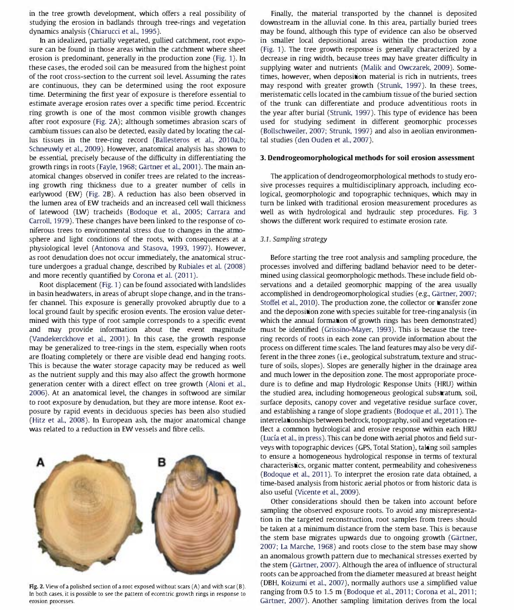in the tree growth development, which offers a real possibility of studying the erosion in badlands through tree-rings and vegetation dynamics analysis (Chiarucci et al., 1995).

In an idealized, partially vegetated, gullied catchment, root exposure can be found in those areas within the catchment where sheet erosion is predominant, generally in the production zone (Fig. 1). In these cases, the eroded soil can be measured from the highest point of the root cross-section to the current soil level. Assuming the rates are continuous, they can be determined using the root exposure time. Determining the first year of exposure is therefore essential to estimate average erosion rates over a specific time period. Eccentric ring growth is one of the most common visible growth changes after root exposure (Fig. 2A); although sometimes abrasion scars of cambium tissues can also be detected, easily dated by locating the callus tissues in the tree-ring record (Ballesteros et al., 2010a,b; Schneuwly et al., 2009). However, anatomical analysis has shown to be essential, precisely because of the difficulty in differentiating the growth rings in roots (Fayle, 1968; Gartner et al., 2001). The main anatomical changes observed in conifer trees are related to the increasing growth ring thickness due to a greater number of cells in earlywood (EW) (Fig. 2B). A reduction has also been observed in the lumen area of EW tracheids and an increased cell wall thickness of latewood (LW) tracheids (Bodoque et al., 2005; Carrara and Carroll, 1979). These changes have been linked to the response of coniferous trees to environmental stress due to changes in the atmosphere and light conditions of the roots, with consequences at a physiological level (Antonova and Stasova, 1993, 1997). However, as root denudation does not occur immediately, the anatomical structure undergoes a gradual change, described by Rubiales et al. (2008) and more recently quantified by Corona et al. (2011).

Root displacement (Fig. 1) can be found associated with landslides in basin headwaters, in areas of abrupt slope change, and in the transfer channel. This exposure is generally provoked abruptly due to a local ground fault by specific erosion events. The erosion value determined with this type of root sample corresponds to a specific event and may provide information about the event magnitude (Vandekerckhove et al., 2001). In this case, the growth response may be generalized to tree-rings in the stem, especially when roots are floating completely or there are visible dead end hanging roots. This is because the water storage capacity may be reduced as well as the nutrient supply and this may also affect the growth hormone generation center with a direct effect on tree growth (Aloni et al., 2006). At an anatomical level, the changes in softwood are similar to root exposure by denudation, but they are more intense. Root exposure by rapid events in deciduous species has been also studied (Hitz et al., 2008). In European ash, the major anatomical change was related to a reduction in EW vessels and fibre cells.

Fig. 2. View of a polished section of a root exposed without scars (A) and with scar (B). In both cases. it is possible to see the pattern of eccentric growth rings in response to erosion processes.

Finally, the material transported by the channel is deposited downstream in the alluvial cone. In this area, partially buried trees may be found, although this type of evidence can also be observed in smaller local depositional areas within the production zone (Fig. 1). The tree growth response is generally characterized by a decrease in ring width, because trees may have greater difficulty in supplying water and nutrients (Malik and Owczarek, 2009). Sometimes, however, when deposition material is rich in nutrients, trees may respond with greater growth (Strunk, 1997). In these trees, meristematic cells located in the cambium tissue of the buried section of the trunk can differentiate and produce adventitious roots in the year after burial (Strunk, 1997). This type of evidence has been used for studying sediment in different geomorphic processes (Bollschweiler, 2007; Strunk, 1997) and also in aeolian environmental studies (den Ouden et al., 2007).

#### 3. Dendrogeomorphological methods for soil erosion assessment

The application of dendrogeomorphological methods to study erosive processes requires a multidisciplinary approach, including ecological, geomorphologic and topographic techniques, which may in turn be linked with traditional erosion measurement procedures as well as with hydrological and hydraulic step procedures. Fig. 3 shows the different work required to estimate erosion rate.

#### 3.1. Sampling strategy

Before starting the tree root analysis and sampling procedure, the processes involved and differing badland behavior need to be determined using classical geomorphologic methods. These include field observations and a detailed geomorphic mapping of the area usually accomplished in dendrogeomorphological studies (e.g., Gärtner, 2007; Stoffel et al., 2010). The production zone, the collector or transfer zone and the deposition zone with species suitable for tree-ring analysis (in which the annual formation of growth rings has been demonstrated) must be identified (Grissino-Mayer, 1993). This is because the treering records of roots in each zone can provide information about the process on different time scales. The land features may also be very different in the three zones (i.e., geological substratum, texture and structure of soils, slopes). Slopes are generally higher in the drainage area and much lower in the deposition zone. The most approporiate procedure is to define and map Hydrologic Response Units (HRU) within the studied area, including homogeneous geological substratum, soil, surface deposits, canopy cover and vegetative residue surface cover, and establishing a range of slope gradients (Bodoque et al., 2011). The interrelationships between bedrock, topography, soil and vegetation reflect a common hydrological and erosive response within each HRU (Lucía et al., in press). This can be done with aerial photos and field surveys with topographic devices (GPS, Total Station), taking soil samples to ensure a homogeneous hydrological response in terms of textural characteristics, organic matter content, permeability and cohesiveness (Bodoque et al., 2011). To interpret the erosion rate data obtained, a time-based analysis from historic aerial photos or from historic data is also useful (Vicente et al., 2009).

Other considerations should then be taken into account before sampling the observed exposure roots. To avoid any misrepresentation in the targeted reconstruction, root samples from trees should be taken at a minimum distance from the stem base. This is because the stem base migrates upwards due to ongoing growth (Gärtner, 2007; La Marche, 1968) and roots close to the stem base may show an anomalous growth pattern due to mechanical stresses exerted by the stem (Gartner, 2007). Although the area of influence of structural roots can be approached from the diameter measured at breast height (DBH, Koizumi et al., 2007), normally authors use a simplified value ranging from 0.5 to 1.5 m (Bodoque et al., 2011; Corona et al., 2011; Gartner, 2007). Another sampling limitation derives from the local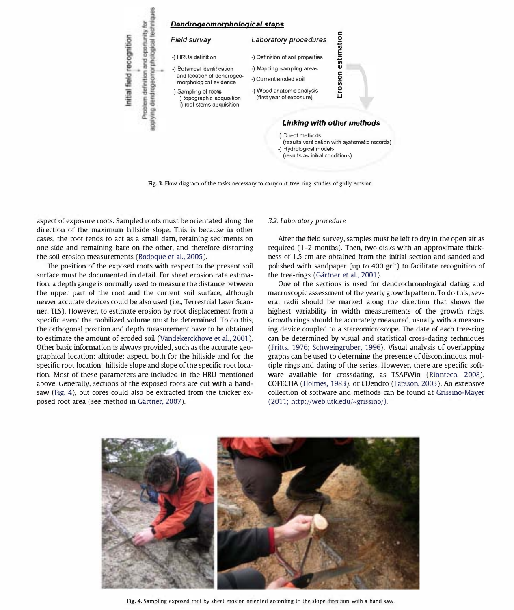

Fig. 3. Flow diagram of the tasks necessary to carry out tree-ring studies of gully erosion.

aspect of exposure roots. Sampled roots must be orientated along the direction of the maximum hillside slope. This is because in other cases, the root tends to act as a small dam, retaining sediments on one side and remaining bare on the other, and therefore distorting the soil erosion measurements (Bodoque et al., 2005).

The position of the exposed roots with respect to the present soil surface must be documented in detail. For sheet erosion rate estimation, a depth gauge is normally used to measure the distance between the upper part of the root and the current soil surface, although newer accurate devices could be also used (i.e., Terrestrial Laser Scanner, TLS). However, to estimate erosion by root displacement from a specific event the mobilized volume must be determined. To do this, the orthogonal position and depth measurement have to be obtained to estimate the amount of eroded soil (Vandekerckhove et al., 2001). Other basic information is always provided, such as the accurate geographical location; altitude; aspect, both for the hillside and for the specific root location; hillside slope and slope of the specific root location. Most of these parameters are included in the HRU mentioned above. Generally, sections of the exposed roots are cut with a handsaw (Fig. 4), but cores could also be extracted from the thicker exposed root area (see method in Gärtner, 2007).

#### 3.2. Laboratory procedure

After the field survey, samples must be left to dry in the open air as required (1-2 months). Then, two disks with an approximate thickness of 1.5 cm are obtained from the initial section and sanded and polished with sandpaper (up to 400 grit) to facilitate recognition of the tree-rings (Gärtner et al., 2001).

One of the sections is used for dendrochronological dating and macroscopic assessment of the yearly growth pattern. To do this, several radii should be marked along the direction that shows the highest variability in width measurements of the growth rings. Growth rings should be accurately measured, usually with a measuring device coupled to a stereomicroscope. The date of each tree-ring can be determined by visual and statistical cross-dating techniques (Fritts, 1976; Schweingruber, 1996). Visual analysis of overlapping graphs can be used to determine the presence of discontinuous, multiple rings and dating of the series. However, there are specific software available for crossdating, as TSAPWin (Rinntech, 2008), COFECHA (Holmes, 1983), or CDendro (Larsson, 2003). An extensive collection of software and methods can be found at Grissino-Mayer (2011; http://web,utk.edu/-grissino/J,



Fig. 4. Sampling exposed root by sheet erosion oriented according to the slope direction with a hand saw.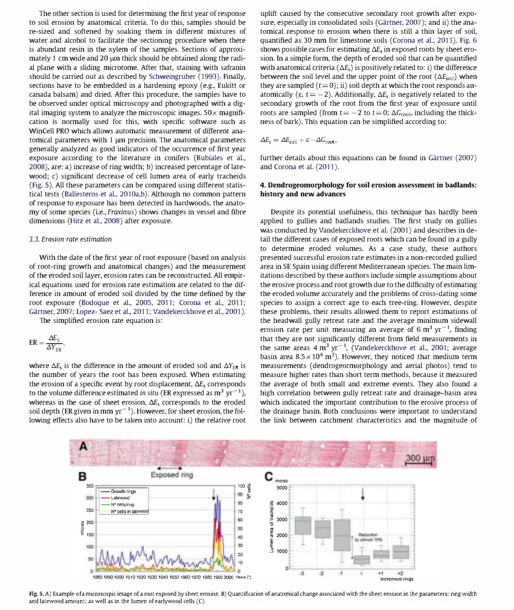The other section is used for determining the first year of response to soil erosion by anatomical criteria. To do this, samples should be re-sized and softened by soaking them in different mixtures of water and alcohol to facilitate the sectioning procedure when there is abundant resin in the xylem of the samples. Sections of approximately 1 cm wide and 20  $\mu$ m thick should be obtained along the radial plane with a sliding microtome. After that, staining with safranin should be carried out as described by Schweingruber (1993). Finally, sections have to be embedded in a hardening epoxy (e.g., Eukitt or canada balsam) and dried. After this procedure, the samples have to be observed under optical microscopy and photographed with a digital imaging system to analyze the microscopic images.  $50\times$  magnification is normally used for this, with specific software such as WinCell PRO which allows automatic measurement of different anatomical parameters with  $1 \mu m$  precision. The anatomical parameters generally analyzed as good indicators of the occurrence of first year exposure according to the literature in conifers (Rubiales et al., 2008), are: a) increase of ring width; b) increased percentage of latewood; c) significant decrease of cell lumen area of early tracheids (Fig. 5). All these parameters can be compared using different statistical tests (Ballesteros et al., 2010a,b). Although no common pattern of response to exposure has been detected in hardwoods, the anatomy of some species (i.e., Fraxinus) shows changes in vessel and fibre dimensions (Hitz et al., 2008) after exposure.

#### 3.3. Erosion rate estimation

With the date of the first year of root exposure (based on analysis of root-ring growth and anatomical changes) and the measurement of the eroded soil layer, erosion rates can be reconstructed. All empirical equations used for erosion rate estimation are related to the difference in amount of eroded soil divided by the time defined by the root exposure (Bodoque et al., 2005, 2011; Corona et al., 2011; Gartner, 2007; Lopez- Saez et al., 2011; Vandekerckhove et al., 2001).

The simplified erosion rate equation is:

$$
ER = \frac{\Delta E_{S}}{\Delta Y_{ER}},
$$

where  $\Delta E_s$  is the difference in the amount of eroded soil and  $\Delta Y_{ER}$  is the number of years the root has been exposed. When estimating the erosion of a specific event by root displacement,  $\Delta E_s$  corresponds to the volume difference estimated in situ (ER expressed as  $m^3$  yr<sup>-1</sup>), whereas in the case of sheet erosion,  $\Delta E_s$  corresponds to the eroded soil depth (ER given in mm  $yr^{-1}$ ). However, for sheet erosion, the following effects also have to be taken into account: i) the relative root uplift caused by the consecutive secondary root growth after exposure, especially in consolidated soils (Gärtner, 2007); and ii) the anatomical response to erosion when there is still a thin layer of soil, quantified as 30 mm for limestone soils (Corona et al., 2011). Fig. 6 shows possible cases for estimating  $\Delta E_s$  in exposed roots by sheet erosion. In a simple form, the depth of eroded soil that can be quantified with anatomical criteria ( $\Delta E_s$ ) is positively related to: i) the difference between the soil level and the upper point of the root  $(\Delta E_{\text{sol}})$  when they are sampled  $(t= 0)$ ; ii) soil depth at which the root responds anatomically ( $\varepsilon$ ,  $t = -2$ ). Additionally,  $\Delta E_s$  is negatively related to the secondary growth of the root from the first year of exposure until roots are sampled (from  $t = -2$  to  $t = 0$ ;  $\Delta G_{\text{root}}$ , including the thickness of bark). This equation can be simplified according to:

$$
\Delta E_{\rm s} = \Delta E_{\rm soil} + \varepsilon - \Delta G_{\rm root},
$$

further details about this equations can be found in Gärtner (2007) and Corona et al. (2011).

### 4. Dendrogeomorphology for soil erosion assessment in badlands: history and new advances

Despite its potential usefulness, this technique has hardly been applied to gullies and badlands studies. The first study on gullies was conducted by Vandekerckhove et al. (2001) and describes in detail the different cases of exposed roots which can be found in a gully to determine eroded volumes. As a case study, these authors presented successful erosion rate estimates in a non-recorded gullied area in SE Spain using different Mediterranean species. The main limitations described by these authors include simple assumptions about the erosive process and root growth due to the difficulty of estimating the eroded volume accurately and the problems of cross-dating some species to assign a correct age to each tree-ring. However, despite these problems, their results allowed them to report estimations of the head wall gully retreat rate and the average minimum sidewall erosion rate per unit measuring an average of 6  $\text{m}^3$  yr<sup>-1</sup>, finding that they are not significantly different from field measurements in the same areas  $4 \text{ m}^3 \text{ yr}^{-1}$ , (Vandekerckhove et al., 2001; average basin area  $8.5 \times 10^4$  m<sup>2</sup>). However, they noticed that medium term measurements (dendrogeormorphology and aerial photos) tend to measure higher rates than short term methods, because it measured the average of both small and extreme events. They also found a high correlation between gully retreat rate and drainage-basin area which indicated the important contribution to the erosive process of the drainage basin. Both conclusions were important to understand the link between catchment characteristics and the magnitude of



Fig. 5.A) Example ofa microscopic image of a root exposed by sheet erosion. B) Quantification of anatomical change associated with the sheet erosion in the parameters: ring width and latewood amount; as well as in the lumen of earJywood cells (C).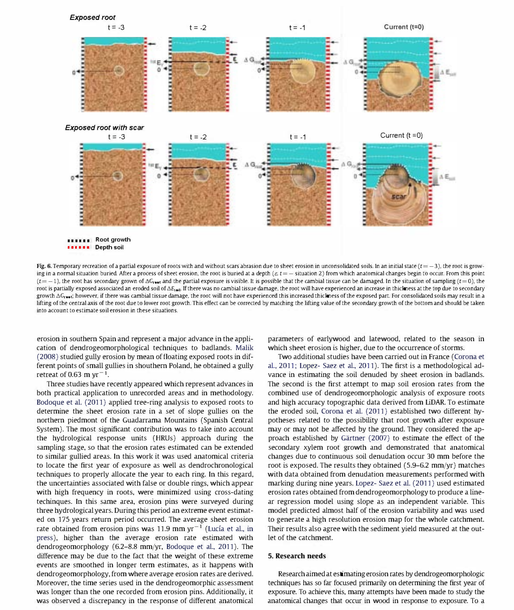

Fig. 6. Temporary recreation of a partial exposure of roots with and without scars abrasion due to sheet erosion in unconsolidated soils. In an initial state ( $t = -3$ ), the root is growing in a normal situation buried. After a process of sheet erosion, the root is buried at a depth  $(\varepsilon, t = -$  situation 2) from which anatomical changes begin to occur. From this point  $(t=-1)$ , the root has secondary grown of  $\Delta G_{\text{root}}$  and the partial exposure is visible. It is possible that the cambial tissue can be damaged. In the situation of sampling ( $t=0$ ), the root is partially exposed associated an eroded soil of  $\Delta E_{\text{tail}}$ . If there was no cambial tissue damage, the root will have experienced an increase in thickness at the top due to secondary growth  $\Delta G_{\rm{test}}$ ; however, if there was cambial tissue damage, the root will not have experienced this increased thickness of the exposed part. For consolidated soils may result in a lifting of the central axis of the root due to lower root growth. This effect can be corrected by matching the lifting value of the secondary growth of the bottom and should be taken into account to estimate soil erosion in these situations.

erosion in southern Spain and represent a major advance in the application of dendrogeomorphological techniques to badlands. Malik (2008) studied gully erosion by mean of floating exposed roots in different points of small gullies in shouthern Poland, he obtained a gully retreat of 0.63 m  $yr^{-1}$ .

Three studies have recently appeared which represent advances in both practical application to unrecorded areas and in methodology. Bodoque et al. (2011) applied tree-ring analysis to exposed roots to determine the sheet erosion rate in a set of slope gullies on the northern piedmont of the Guadarrama Mountains (Spanish Central System). The most significant contribution was to take into account the hydrological response units (HRUs) approach during the sampling stage, so that the erosion rates estimated can be extended to similar gullied areas. In this work it was used anatomical criteria to locate the first year of exposure as well as dendrochronological techniques to properly allocate the year to each ring. In this regard, the uncertainties associated with false or double rings, which appear with high frequency in roots, were minimized using cross-dating techinques. In this same area, erosion pins were surveyed during three hydrological years. During this period an extreme event estimated on 175 years return period occurred. The average sheet erosion rate obtained from erosion pins was 11.9 mm  $yr^{-1}$  (Lucía et al., in press), higher than the average erosion rate estimated with dendrogeomorphology (6.2-8.8 mm/yr, Bodoque et al., 2011). The difference may be due to the fact that the weight of these extreme events are smoothed in longer term estimates, as it happens with dendrogeomorphology, from where average erosion rates are derived. Moreover, the time series used in the dendrogeomorphic assessment was longer than the one recorded from erosion pins. Additionally, it was observed a discrepancy in the response of different anatomical

parameters of earlywood and latewood, related to the season in which sheet erosion is higher, due to the occurrence of storms.

Two additional studies have been carried out in France (Corona et al., 2011; Lopez- Saez et al., 2011). The first is a methodological advance in estimating the soil denuded by sheet erosion in badlands. The second is the first attempt to map soil erosion rates from the combined use of dendrogeomorphologic analysis of exposure roots and high accuracy topographic data derived from LiDAR. To estimate the eroded soil, Corona et al. (2011) established two different hypotheses related to the possibility that root growth after exposure may or may not be affected by the ground. They considered the approach established by Gartner (2007) to estimate the effect of the secondary xylem root growth and demonstrated that anatomical changes due to continuous soil denudation occur 30 mm before the root is exposed. The results they obtained (5.9-6.2 mm/yr) matches with data obtained from denudation measurements performed with marking during nine years. Lopez- Saez et al. (2011) used estimated erosion rates obtained from dendrogeomorphology to produce a linear regression model using slope as an independent variable. This model predicted almost half of the erosion variability and was used to generate a high resolution erosion map for the whole catchment. Their results also agree with the sediment yield measured at the outlet of the catchment.

## 5. Research needs

Research aimed at estimating erosion rates by dendrogeomorphologic techniques has so far focused primarily on determining the first year of exposure. To achieve this, many attempts have been made to study the anatomical changes that occur in wood in response to exposure. To a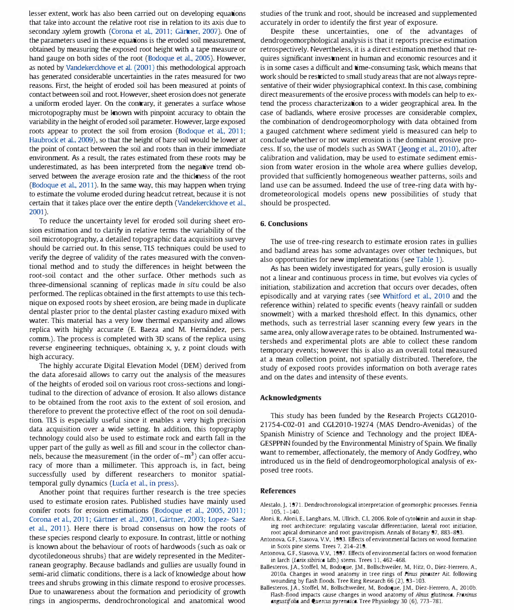lesser extent, work has also been carried out on developing equations that take into account the relative root rise in relation to its axis due to secondary xylem growth (Corona et al., 2011; Gärtner, 2007). One of the parameters used in these equations is the eroded soil measurement, obtained by measuring the exposed root height with a tape measure or hand gauge on both sides of the root (Bodoque et al., 2005). However, as noted by Vandekerckhove et al. (2001) this methodological approach has generated considerable uncertainties in the rates measured for two reasons. First, the height of eroded soil has been measured at points of contact between soil and root However, sheet erosion does not generate a uniform eroded layer. On the contrary, it generates a surface whose microtopography must be known with pinpoint accuracy to obtain the variability in the height of eroded soil parameter. However, large exposed roots appear to protect the soil from erosion (Bodoque et al, 2011; Haubrock et al., 2009), so that the height of bare soil would be lower at the point of contact between the soil and roots than in their immediate environment. As a result, the rates estimated from these roots may be underestimated, as has been interpreted from the negative trend observed between the average erosion rate and the thickness of the root (Bodoque et al., 2011). In the same way, this may happen when trying to estimate the volume eroded during headcut retreat, because it is not certain that it takes place over the entire depth (Vandekerckhove et al., 2001).

To reduce the uncertainty level for eroded soil during sheet erosion estimation and to clarify in relative terms the variability of the soil microtopography, a detailed topographic data acquisition survey should be carried out. In this sense, TlS techniques could be used to verify the degree of validity of the rates measured with the conventional method and to study the differences in height between the root-soil contact and the other surface. Other methods such as three-dimensional scanning of replicas made in situ could be also performed. The replicas obtained in the first attempts to use this technique on exposed roots by sheet erosion, are being made in duplicate dental plaster prior to the dental plaster casting exaduro mixed with water. This material has a very low thermal expansivity and allows replica with highly accurate (E. Baeza and M. Hernández, pers. comm.). The process is completed with 3D scans of the replica using reverse engineering techniques, obtaining x, y, z point clouds with high accuracy.

The highly accurate Digital Elevation Model (DEM) derived from the data aforesaid allows to carry out the analysis of the measures of the heights of eroded soil on various root cross-sections and longitudinal to the direction of advance of erosion. It also allows distance to be obtained from the root axis to the extent of soil erosion, and therefore to prevent the protective effect of the root on soil denudation. TlS is especially useful since it enables a very high precision data acquisition over a wide setting. In addition, this topography technology could also be used to estimate rock and earth fall in the upper part of the gully as well as fill and scour in the collector channels, because the measurement (in the order of  $\sim$ m<sup>3</sup>) can offer accuracy of more than a millimeter. This approach is, in fact, being successfully used by different researchers to monitor spatialtemporal gully dynamics (Lucía et al., in press).

Another point that requires further research is the tree species used to estimate erosion rates. Published studies have mainly used conifer roots for erosion estimations (Bodoque et al., 2005, 2011; Corona et al, 2011; Gartner et al., 2001, Gartner, 2003; Lopez- Saez et al., 2011). Here there is broad consensus on how the roots of these species respond clearly to exposure. In contrast, little or nothing is known about the behaviour of roots of hardwoods (such as oak or dycotiledoneous shrubs) that are widely represented in the Mediterranean geography. Because badlands and gullies are usually found in semi-arid climatic conditions, there is a lack of knowledge about how trees and shrubs growing in this climate respond to erosive processes. Due to unawareness about the formation and periodicity of growth rings in angiosperms, dendrochronological and anatomical wood

studies of the trunk and root, should be increased and supplemented accurately in order to identify the first year of exposure.

Despite these uncertainties, one of the advantages of dendrogeomorphological analysis is that it reports precise estimation retrospectively. Nevertheless, it is a direct estimation method that requires significant investment in human and economic resources and it is in some cases a difficult and time-consuming task, which means that work should be restricted to small study areas that are not always representative of their wider physiographical context. In this case, combining direct measurements of the erosive process with models can help to extend the process characterization to a wider geographical area. In the case of badlands, where erosive processes are considerable complex, the combination of dendrogeomorphology with data obtained from a gauged catchment where sediment yield is measured can help to conclude whether or not water erosion is the dominant erosive process. If so, the use of models such as SWAT (Jeong et al., 2010), after calibration and validation, may be used to estimate sediment emission from water erosion in the whole area where gullies develop, provided that sufficiently homogeneous weather patterns, soils and land use can be assumed. Indeed the use of tree-ring data with hydrometeorological models opens new possibilities of study that should be prospected.

#### 6. Conclusions

The use of tree-ring research to estimate erosion rates in gullies and badland areas has some advantages over other techniques, but also opportunities for new implementations (see Table 1).

As has been widely investigated for years, gully erosion is usually not a linear and continuous process in time, but evolves via cycles of initiation, stabilization and accretion that occurs over decades, often episodically and at varying rates (see Whitford et al., 2010 and the reference within) related to specific events (heavy rainfall or sudden snowmelt) with a marked threshold effect. In this dynamics, other methods, such as terrestrial laser scanning every few years in the same area, only allow average rates to be obtained. Instrumented watersheds and experimental plots are able to collect these random temporary events; however this is also as an overall total measured at a mean collection point, not spatially distributed. Therefore, the study of exposed roots provides information on both average rates and on the dates and intensity of these events.

#### Acknowledgments

This study has been funded by the Research Projects CGL201O-21754-C02-01 and CGL2010-19274 (MAS Dendro-Avenidas) of the Spanish Ministry of Science and Technology and the project IDEA-GESPPNN founded by the Environmental Ministry of Spain. We finally want to remember, affectionately, the memory of Andy Godfrey, who introduced us in the field of dendrogeomorphological analysis of exposed tree roots.

#### References

- Alestalo, J. 1971. Dendrochronological interpretation of geomorphic processes. Fennia 105. 1-140.
- Aloni, R. Aloni, E., Langhans, M., Ullrich, C.I., 2006. Role of cytokinin and auxin in shaping root architecture: regulating vascular differentiation. lateral root initiation. root apical dominance and root gravitropism. Annals of Botany 97. 883-893.
- Antonova, G.F., Stasova, V.V., 1993. Effects of environmental factors on wood formation in Scots pine stems. Trees 7. 214-219.
- Antonova, G.F., Stasova, V.V., 1997. Effects of environmental factors on wood formation in larch (Larix sibirica Ldb.) stems. Trees 11, 462-468.
- Ballesteros, J.A., Stoffel, M., Bodoque, J.M., Bollschweiler, M., Hitz, O., Díez-Herrero, A., 2010a. Changes in wood anatomy in tree rings of *Finus pinaster* Ait. following wounding by flash floods. Tree Ring Research 66 (2). 93-103.
- Ballesteros, J.A., Stoffel, M., Bollschweiler, M., Bodoque, J.M., Díez-Herrero, A., 2010b. Rash-flood impacts cause changes in wood anatomy of Alnus glutinosa. Fraxinus angustifolia and Quercus pyrenaica. Tree Physiology 30 (6). 773-781.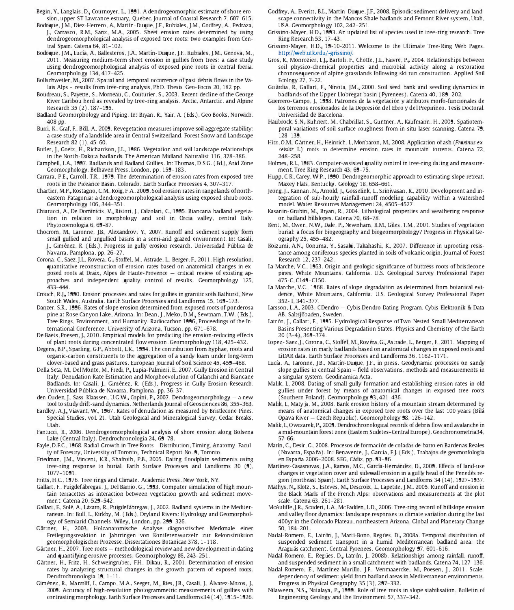- Begin, Y., Langlais, D., Cournoyer, L., 1991. A dendrogeomorphic estimate of shore erosion, upper ST-Lawrance estuary, Quebec. journal of Coastal Research 7, 607-615,
- Bodoque, J,M, Diez-Herrero, A, Martin-Duque, J,E, Rubiales, J,M, Godfrey, A, Pedraza, J., Carrasco, R.M., Sanz, M.A., 2005. Sheet erosion rates determined by using dendrogeomorphological analysis of exposed tree roots: two examples from Central Spain, catena 64, 81-102,
- Bodoque, J.M., Lucía, A., Ballesteros, J.A., Martín-Duque, J.F., Rubiales, J.M., Genova, M., 2011, Measuring medium-term sheet erosion in gullies from trees: a case study using dendrogeomorphological analysis of exposed pine roots in central Iberia, Geomorphology 134, 417-425,
- Bollschweiler, M., 2007. Spatial and temporal occurrence of past debris flows in the Valais Alps - results from tree-ring analysis, PhD. Thesis, Geo-Focus 20, 182 pp.
- Boudreau, S., Payette, S., Morneau, C., Couturier, S., 2003. Recent decline of the George River Caribou herd as revealed by tree-ring analysis, Arctic, Antarctic, and Alpine Research 35 (2), 187-195,
- Badland Geomorphology and Piping. In: Bryan, R., Yair, A. (Eds.), Geo Books, Norwich. 408 pp,
- Burri, K, Graf, E, Boll, A, 2009, Revegetation measures improve soil aggregate stability: a case study of a landslide area in Central Switzerland, Forest Snow and Landscape Research 82 (1), 45-60,
- Butler, J., Goetz, H., Richardson, J.L., 1986. Vegetation and soil landscape relationships in the North-Dakota badlands, The American Midland Naturalist 116, 378-386,
- Campbell, LA, 1997, Badlands and Badland Gullies, In: Thomas, DSG, (Ed,), Arid Zone Geomorphology, Belhaven Press, London, pp, 159-183,
- Carrara, P.E., Carroll, T.R., 1979. The determination of erosion rates from exposed tree roots in the Piceance Basin, Colorado, Earth Surface Processes 4, 307-317,
- Chartier, M.P., Rostagno, C.M., Roig, F.A., 2009. Soil erosion rates in range lands of northeastern Patagonia: a dendrogeomorphological analysis using exposed shrub roots, Geomorphology 106, 344-351,
- Chiarucci, A, De Dominicis, V., Ristori, J., Calzolari, C., 1995. Biancana badland vegetation in relation to morphology and soil in Orcia valley, central Italy, Phytocoenologia 6, 69-87
- Chocrom, M., Laronne, J.B., Alexandrov, Y., 2007. Runoff and sediment supply form small gullied and ungullied basins in a semi-arid grazed environment. In: Casalí, J., Giménez, R. (Eds.), Progress in gully erosion research. Universidad Pública de Navarra, Pamplona, pp, 26-27,
- Corona, C., Saez, J.L., Rovera, G., Stoffel, M., Astrade, L., Berger, F., 2011. High resolution, quantitative reconstruction of erosion rates based on anatomical changes in exposed roots at Draix, Alpes de Haute-Provence  $-$  critical review of existing approaches and independent quality control of results, Geomorphology 125, 433-444,
- Crouch, R.J., 1990. Erosion processes and rates for gullies in granitic soils Bathurst, New South Wales, Australia, Earth Surface Processes and Landforms 15, 169-173,
- Danzer, S.R., 1996. Rates of slope erosion determined from exposed roots of ponderosa pine at Rose Canyon Lake, Arizona. In: Dean, J., Meko, D.M., Sewtnam, T.W. (Eds.), Tree Rings, Environment, and Humanity, Radiocarbon 1996, Proceedings of the International Conference, University of Arizona, Tucson, pp, 671-678.
- De Baets, Poesen, J., 2010. Empirical models for predicting the erosion-reducing effects of plant roots during concentrated flow erosion, Geomorphology 118, 425-432,
- Degens, B.P., Sparling, G.P., Abbott, L.K., 1994. The contribution from hyphae, roots and organic-carbon constituents to the aggregation of a sandy loam under long-term clover-based and grass pastures, European journal of Soil Science 45, 459-468.
- Della Seta, M., Del Monte, M., Fredi, P., Lupia-Palmieri, E., 2007. Gully Erosion in Central Italy: Denudation Rate Estimation and Morphoevolution of calanchi and Biancane Badlands. In: Casalí, J., Giménez, R. (Eds.), Progress in Gully Erosion Research. Universidad Pública de Navarra, Pamplona, pp. 36-37
- den Ouden, J., Sass-Klaassen, U.G.W., Copini, P., 2007. Dendrogeomorphology a new tool to study drift-sand dynamics. Netherlands Journal of Geosciences 86, 355-363.
- Eardley, A.I., Viavant, W., 1967, Rates of denudation as measured by Bristlecone Pines, Special Studies, voL 21, Utah Geological and Mineralogical Survey, Cedar Breaks, Utah,
- Fantucci, R., 2006, Dendrogeomorphological analysis of shore erosion along Bolsena Lake (Central Italy), Dendrochronologia 24, 69-78,
- Fayle, D,EC, 1968. Radial Growth in Tree Roots Distribution, Timing, Anatomy, Faculty of Forestry, University of Toronto, Technical Report No, 9, Toronto,
- Friedman, J.M., Vincent, K.R., Shafroth, P.B., 2005. Dating floodplain sediments using tree-ring response to burial. Earth Surface Processes and Landforms 30 (9), 1077-1091,
- Fritts, H.C., 1976. Tree rings and Climate. Academic Press, New York, NY.
- Gallart, F., Puigdefábregas, J., Del Barrio, G., 1993. Computer simulation of high mountain terracettes as interaction between vegetation growth and sediment movement. Catena 20, 529-542
- Gallart, F., Solé, A., Lázaro, R., Puigdefábregas, J., 2002. Badland systems in the Mediterranean, In: Bull, L, Kirkby, M, (Eds,), Dryland Rivers: Hydrology and Geomorphology of Semiarid Channels. Wiley, London, pp. 299-326.
- Gartner, H., 2003, Holzanatomische Analyse diagnostischer Merkmale einer Freilegungsreaktion in jahrringen von Koniferenwurzeln zur Rekonstruktion geomorphologischer Prozesse, Dissertationes Botanicae 378, 1-118,
- Gärtner, H., 2007. Tree roots methodological review and new development in dating and quantifying erosive processes, Geomorphology 86, 243-251,
- Gartner, H., Fritz, H., Schweingruber, EH., Dikau, R., 2001, Determination of erosion rates by analyzing structural changes in the growth pattern of exposed roots, Dendrochronologia 19, 1-11,
- Giménez, R., Marzolff, L., Campo, M.A., Seeger, M., Ries, J.B., Casalí, J., Álvarez-Mozos, J. 2009, Accuracy of high-resolution photogrammetric measurements of gullies with contrasting morphology, Earth Surface Processes and Landforms34 (14), 1915-1926,
- Godfrey, A, Everitt, B.L, Martin-Duque, J,E, 2008. Episodic sediment delivery and landscape connectivity in the Mancos Shale badlands and Femont River system, Utah, USA Geomorphology 102, 242-251.
- Grissino-Mayer, H.D., 1993. An updated list of species used in tree-ring research. Tree Ring Research 53, 17-43,
- Grissino-Mayer, H.D., 19-10-2011. Welcome to the Ultimate Tree-Ring Web Pages. http://Web ,utkedu/-grissino/.
- Gros, R., Monrozier, L.J., Bartoli, F., Chotte, J.L., Faivre, P., 2004. Relationships between soil physico-chemical properties and microbial activity along a restoration chronosequence of alpine grasslands following ski run construction, Applied Soil Ecology 27, 7-22,
- Guàrdia, R., Gallart, F., Ninota, J.M., 2000. Soil seed bank and seedling dynamics in badlands of the Upper Llobregat basin (Pyrenees), Catena 40, 189-202,
- Guerrero-Campo, J., 1998. Patrones de la vegetación y atributos morfo-funcionales de los terrenos erosionados de la Depresión del Ebro y del Prepirineo. Tesis Doctoral. Universidad de Barcelona,
- Haubrock, S.N., Kuhnert, M., Chabrillat, S., Guntner, A., Kaufmann, H., 2009. Spatiotemporal variations of soil surface roughness from in-situ laser scanning, Catena 79, 128-139,
- Hitz, O.M., Gärtner, H., Heinrich, L. Monbaron, M., 2008. Application of ash (Fraxinus excelsior L) roots to determine erosion rates in mountain torrents, catena 72, 248-258.
- Holmes, R.L, 1983, Computer-assisted quality control in tree-ring dating and measurement. Tree Ring Research 43, 69-75.
- Hupp, C.R., Carey, W.P., 1990. Dendrogeomorphic approach to estimating slope retreat, Maxey Fiats, Kentucky, Geology 18, 658-661,
- Jeong, J., Kannan, N., Arnold, J., Gosselink, L., Srinivasan, R., 2010. Development and integration of sub-hourly rainfall-runoff modeling capability within a watershed model. Water Resources Management 24, 4505-4527,
- Kasanin-Grubin, M., Bryan, R., 2004. Lithological properties and weathering response on badland hillslopes, Catena 70, 68-78.
- Kent, M., Owen, N.W., Dale, P., Newnham, R.M., Giles, T.M., 2001. Studies of vegetation burial: a focus for biogeography and biogeomorphology? Progress in Physical Geography 25, 455-482,
- Koizumi, A.N., Oonuma, Y., Sasaki, Takahashi, K., 2007. Difference in uprooting resistance among coniferous species planted in soils of volcanic origin, journal of Forest Research 12, 237-242,
- La Marche, V.c, 1963, Origin and geologic significance of buttress roots of bristlecone pines, White Mountains, California. U.S. Geological Survey Professional Paper 475-C, C149-C150,
- La Marche, V.C, 1968, Rates of slope degradation as determined from botanical evidence, White Mountains, California. U.S. Geological Survey Professional Paper 352- I, 341-377,
- Larsson, L.A., 2003. CDendro Cybis Dendro Dating Program. Cybis Elektronik & Data AB, Saltsjobaden, Sweden,
- Latrón, J., Gallart, F., 1995. Hydrological Response of Two Nested Small Mediterranean Basins Presenting Various Degradation States, Physics and Chemistry of the Earth 20 (3-4), 369-374,
- Lopez-Saez,J., Corona, C., Stoffel, M., Rovéra, G., Astrade, L., Berger, F., 2011. Mapping of erosion rates in marly badlands based on anatomical changes in exposed roots and LiDAR data, Earth Surface Processes and Landforms 36, 1162-1171,
- Lucía, A., Laronne, J.B., Martín-Duque, J.F., in press. Geodynamic processes on sandy slope gullies in central Spain - field observations, methods and measurements in a singular system, Geodinamica Acta,
- Malik, L, 2008. Dating of small gully formation and establishing erosion rates in old gullies under forest by means of anatomical changes in exposed tree roots (Southern Poland), Geomorphology 93, 421-436,
- Malik, L, Matyja, M., 2008. Bank erosion history of a mountain stream determined by means of anatomical changes in exposed tree roots over the last 100 years (Bílá Opava River - Czech Republic). Geomorphology 98, 126-142
- Malik, L, Owczarek, P., 2009. Dendrochronological records of debris flow and avalanche in a mid-mountain forest zone (Eastern Sudetes-Central Europe), Geochronometria34, 57-66,
- Marín, C., Desir, G., 2008. Procesos de formación de coladas de barro en Bardenas Reales (Navarra, España). In: Benavente, J., García, F.J. (Eds.), Trabajos de geomorfología en España 2006-2008. SEG, Cádiz, pp. 93-96.
- Martínez-Casasnovas, J.A., Ramos, M.C., García-Hernández, D., 2009. Effects of land-use changes in vegetation cover and sidewall erosion in a gully head of the Penedes region (northeast Spain). Earth Surface Processes and Landforms 34 (14), 1927-1937.
- Mathys, N., Klotz, S., Esteves, M., Descroix, L., Lapetite, J.M., 2005. Runoff and erosion in the Black Marls of the French Alps: observations and measurements at the plot scale, catena 63, 261-281,
- McAuliffe, J.R., Scuderi, L.A., McFadden, L.D., 2006. Tree-ring record of hillslope erosion and valley floor dynamics: landscape responses to climate variation during the last 400yr in the Colorado Plateau, northeastern Arizona, Global and Planetary Change 50, 184-201,
- Nadal-Romero, E., Latrón, J., Martí-Bono, Regües, D., 2008a. Temporal distribution of suspended sediment transport in a humid Mediterranean badland area: the Araguás catchment, Central Pyrenees. Geomorphology 97, 601-616
- Nadal-Romero, E., Regües, D., Latrón, J., 2008b. Relationships among rainfall, runoff, and suspended sediment in a small catchment with badlands, catena 74, 127-136,
- Nadal-Romero, E., Martínez-Murillo, J.F., Venmaaercke, M., Poesen, J., 2011. Scaledependency of sediment yield from badland areas in Mediterranean environments. Progress in Physical Geography 35 (3), 297-332,
- Nilaweera, N.S., Nutalaya, P., 1999. Role of tree roots in slope stabilisation. Bulletin of Engineering Geology and the Environment 57, 337-342,